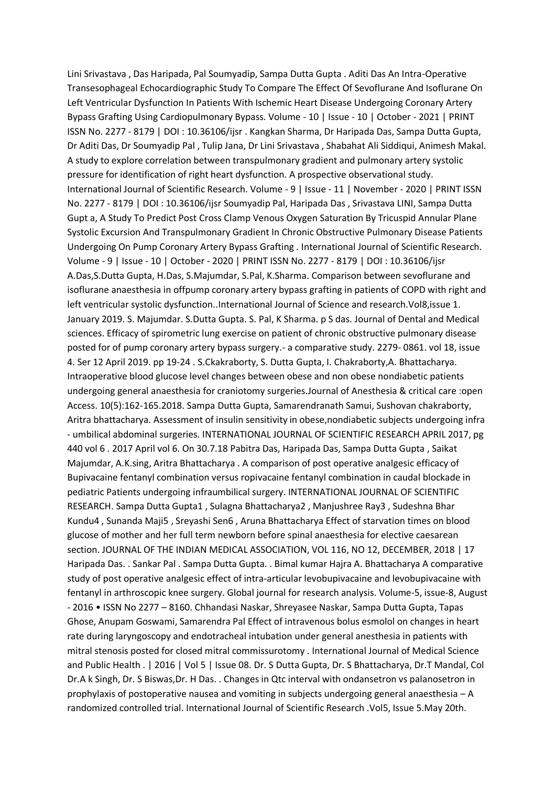Lini Srivastava , Das Haripada, Pal Soumyadip, Sampa Dutta Gupta . Aditi Das An Intra-Operative Transesophageal Echocardiographic Study To Compare The Effect Of Sevoflurane And Isoflurane On Left Ventricular Dysfunction In Patients With Ischemic Heart Disease Undergoing Coronary Artery Bypass Grafting Using Cardiopulmonary Bypass. Volume - 10 | Issue - 10 | October - 2021 | PRINT ISSN No. 2277 - 8179 | DOI : 10.36106/ijsr . Kangkan Sharma, Dr Haripada Das, Sampa Dutta Gupta, Dr Aditi Das, Dr Soumyadip Pal , Tulip Jana, Dr Lini Srivastava , Shabahat Ali Siddiqui, Animesh Makal. A study to explore correlation between transpulmonary gradient and pulmonary artery systolic pressure for identification of right heart dysfunction. A prospective observational study. International Journal of Scientific Research. Volume - 9 | Issue - 11 | November - 2020 | PRINT ISSN No. 2277 - 8179 | DOI : 10.36106/ijsr Soumyadip Pal, Haripada Das , Srivastava LINI, Sampa Dutta Gupt a, A Study To Predict Post Cross Clamp Venous Oxygen Saturation By Tricuspid Annular Plane Systolic Excursion And Transpulmonary Gradient In Chronic Obstructive Pulmonary Disease Patients Undergoing On Pump Coronary Artery Bypass Grafting . International Journal of Scientific Research. Volume - 9 | Issue - 10 | October - 2020 | PRINT ISSN No. 2277 - 8179 | DOI : 10.36106/ijsr A.Das,S.Dutta Gupta, H.Das, S.Majumdar, S.Pal, K.Sharma. Comparison between sevoflurane and isoflurane anaesthesia in offpump coronary artery bypass grafting in patients of COPD with right and left ventricular systolic dysfunction..International Journal of Science and research.Vol8,issue 1. January 2019. S. Majumdar. S.Dutta Gupta. S. Pal, K Sharma. p S das. Journal of Dental and Medical sciences. Efficacy of spirometric lung exercise on patient of chronic obstructive pulmonary disease posted for of pump coronary artery bypass surgery.- a comparative study. 2279- 0861. vol 18, issue 4. Ser 12 April 2019. pp 19-24 . S.Ckakraborty, S. Dutta Gupta, I. Chakraborty,A. Bhattacharya. Intraoperative blood glucose level changes between obese and non obese nondiabetic patients undergoing general anaesthesia for craniotomy surgeries.Journal of Anesthesia & critical care :open Access. 10(5):162-165.2018. Sampa Dutta Gupta, Samarendranath Samui, Sushovan chakraborty, Aritra bhattacharya. Assessment of insulin sensitivity in obese,nondiabetic subjects undergoing infra - umbilical abdominal surgeries. INTERNATIONAL JOURNAL OF SCIENTIFIC RESEARCH APRIL 2017, pg 440 vol 6 . 2017 April vol 6. On 30.7.18 Pabitra Das, Haripada Das, Sampa Dutta Gupta , Saikat Majumdar, A.K.sing, Aritra Bhattacharya . A comparison of post operative analgesic efficacy of Bupivacaine fentanyl combination versus ropivacaine fentanyl combination in caudal blockade in pediatric Patients undergoing infraumbilical surgery. INTERNATIONAL JOURNAL OF SCIENTIFIC RESEARCH. Sampa Dutta Gupta1 , Sulagna Bhattacharya2 , Manjushree Ray3 , Sudeshna Bhar Kundu4 , Sunanda Maji5 , Sreyashi Sen6 , Aruna Bhattacharya Effect of starvation times on blood glucose of mother and her full term newborn before spinal anaesthesia for elective caesarean section. JOURNAL OF THE INDIAN MEDICAL ASSOCIATION, VOL 116, NO 12, DECEMBER, 2018 | 17 Haripada Das. . Sankar Pal . Sampa Dutta Gupta. . Bimal kumar Hajra A. Bhattacharya A comparative study of post operative analgesic effect of intra-articular levobupivacaine and levobupivacaine with fentanyl in arthroscopic knee surgery. Global journal for research analysis. Volume-5, issue-8, August - 2016 • ISSN No 2277 – 8160. Chhandasi Naskar, Shreyasee Naskar, Sampa Dutta Gupta, Tapas Ghose, Anupam Goswami, Samarendra Pal Effect of intravenous bolus esmolol on changes in heart rate during laryngoscopy and endotracheal intubation under general anesthesia in patients with mitral stenosis posted for closed mitral commissurotomy . International Journal of Medical Science and Public Health . | 2016 | Vol 5 | Issue 08. Dr. S Dutta Gupta, Dr. S Bhattacharya, Dr.T Mandal, Col Dr.A k Singh, Dr. S Biswas,Dr. H Das. . Changes in Qtc interval with ondansetron vs palanosetron in prophylaxis of postoperative nausea and vomiting in subjects undergoing general anaesthesia – A randomized controlled trial. International Journal of Scientific Research .Vol5, Issue 5.May 20th.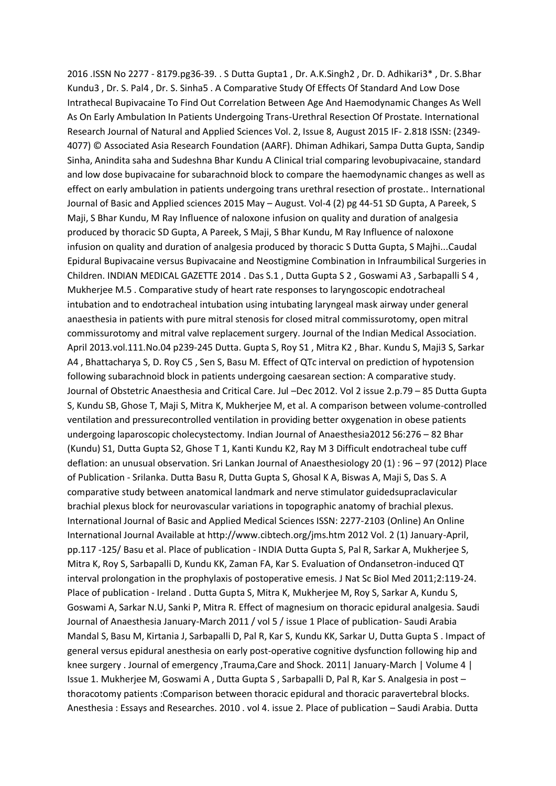2016 .ISSN No 2277 - 8179.pg36-39. . S Dutta Gupta1 , Dr. A.K.Singh2 , Dr. D. Adhikari3\* , Dr. S.Bhar Kundu3 , Dr. S. Pal4 , Dr. S. Sinha5 . A Comparative Study Of Effects Of Standard And Low Dose Intrathecal Bupivacaine To Find Out Correlation Between Age And Haemodynamic Changes As Well As On Early Ambulation In Patients Undergoing Trans-Urethral Resection Of Prostate. International Research Journal of Natural and Applied Sciences Vol. 2, Issue 8, August 2015 IF- 2.818 ISSN: (2349- 4077) © Associated Asia Research Foundation (AARF). Dhiman Adhikari, Sampa Dutta Gupta, Sandip Sinha, Anindita saha and Sudeshna Bhar Kundu A Clinical trial comparing levobupivacaine, standard and low dose bupivacaine for subarachnoid block to compare the haemodynamic changes as well as effect on early ambulation in patients undergoing trans urethral resection of prostate.. International Journal of Basic and Applied sciences 2015 May – August. Vol-4 (2) pg 44-51 SD Gupta, A Pareek, S Maji, S Bhar Kundu, M Ray Influence of naloxone infusion on quality and duration of analgesia produced by thoracic SD Gupta, A Pareek, S Maji, S Bhar Kundu, M Ray Influence of naloxone infusion on quality and duration of analgesia produced by thoracic S Dutta Gupta, S Majhi...Caudal Epidural Bupivacaine versus Bupivacaine and Neostigmine Combination in Infraumbilical Surgeries in Children. INDIAN MEDICAL GAZETTE 2014 . Das S.1 , Dutta Gupta S 2 , Goswami A3 , Sarbapalli S 4 , Mukherjee M.5 . Comparative study of heart rate responses to laryngoscopic endotracheal intubation and to endotracheal intubation using intubating laryngeal mask airway under general anaesthesia in patients with pure mitral stenosis for closed mitral commissurotomy, open mitral commissurotomy and mitral valve replacement surgery. Journal of the Indian Medical Association. April 2013.vol.111.No.04 p239-245 Dutta. Gupta S, Roy S1 , Mitra K2 , Bhar. Kundu S, Maji3 S, Sarkar A4 , Bhattacharya S, D. Roy C5 , Sen S, Basu M. Effect of QTc interval on prediction of hypotension following subarachnoid block in patients undergoing caesarean section: A comparative study. Journal of Obstetric Anaesthesia and Critical Care. Jul –Dec 2012. Vol 2 issue 2.p.79 – 85 Dutta Gupta S, Kundu SB, Ghose T, Maji S, Mitra K, Mukherjee M, et al. A comparison between volume-controlled ventilation and pressurecontrolled ventilation in providing better oxygenation in obese patients undergoing laparoscopic cholecystectomy. Indian Journal of Anaesthesia2012 56:276 – 82 Bhar (Kundu) S1, Dutta Gupta S2, Ghose T 1, Kanti Kundu K2, Ray M 3 Difficult endotracheal tube cuff deflation: an unusual observation. Sri Lankan Journal of Anaesthesiology 20 (1) : 96 – 97 (2012) Place of Publication - Srilanka. Dutta Basu R, Dutta Gupta S, Ghosal K A, Biswas A, Maji S, Das S. A comparative study between anatomical landmark and nerve stimulator guidedsupraclavicular brachial plexus block for neurovascular variations in topographic anatomy of brachial plexus. International Journal of Basic and Applied Medical Sciences ISSN: 2277-2103 (Online) An Online International Journal Available at http://www.cibtech.org/jms.htm 2012 Vol. 2 (1) January-April, pp.117 -125/ Basu et al. Place of publication - INDIA Dutta Gupta S, Pal R, Sarkar A, Mukherjee S, Mitra K, Roy S, Sarbapalli D, Kundu KK, Zaman FA, Kar S. Evaluation of Ondansetron-induced QT interval prolongation in the prophylaxis of postoperative emesis. J Nat Sc Biol Med 2011;2:119-24. Place of publication - Ireland . Dutta Gupta S, Mitra K, Mukherjee M, Roy S, Sarkar A, Kundu S, Goswami A, Sarkar N.U, Sanki P, Mitra R. Effect of magnesium on thoracic epidural analgesia. Saudi Journal of Anaesthesia January-March 2011 / vol 5 / issue 1 Place of publication- Saudi Arabia Mandal S, Basu M, Kirtania J, Sarbapalli D, Pal R, Kar S, Kundu KK, Sarkar U, Dutta Gupta S . Impact of general versus epidural anesthesia on early post-operative cognitive dysfunction following hip and knee surgery . Journal of emergency ,Trauma,Care and Shock. 2011| January-March | Volume 4 | Issue 1. Mukherjee M, Goswami A , Dutta Gupta S , Sarbapalli D, Pal R, Kar S. Analgesia in post – thoracotomy patients :Comparison between thoracic epidural and thoracic paravertebral blocks. Anesthesia : Essays and Researches. 2010 . vol 4. issue 2. Place of publication – Saudi Arabia. Dutta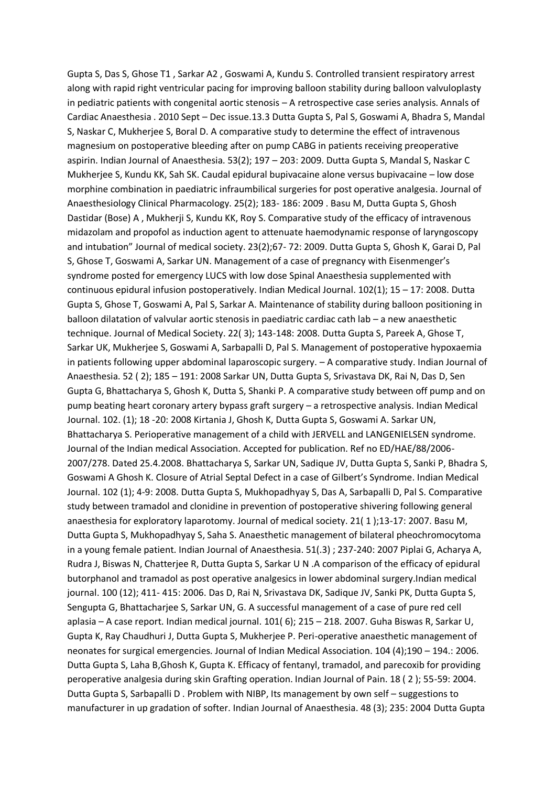Gupta S, Das S, Ghose T1 , Sarkar A2 , Goswami A, Kundu S. Controlled transient respiratory arrest along with rapid right ventricular pacing for improving balloon stability during balloon valvuloplasty in pediatric patients with congenital aortic stenosis – A retrospective case series analysis. Annals of Cardiac Anaesthesia . 2010 Sept – Dec issue.13.3 Dutta Gupta S, Pal S, Goswami A, Bhadra S, Mandal S, Naskar C, Mukherjee S, Boral D. A comparative study to determine the effect of intravenous magnesium on postoperative bleeding after on pump CABG in patients receiving preoperative aspirin. Indian Journal of Anaesthesia. 53(2); 197 – 203: 2009. Dutta Gupta S, Mandal S, Naskar C Mukherjee S, Kundu KK, Sah SK. Caudal epidural bupivacaine alone versus bupivacaine – low dose morphine combination in paediatric infraumbilical surgeries for post operative analgesia. Journal of Anaesthesiology Clinical Pharmacology. 25(2); 183- 186: 2009 . Basu M, Dutta Gupta S, Ghosh Dastidar (Bose) A , Mukherji S, Kundu KK, Roy S. Comparative study of the efficacy of intravenous midazolam and propofol as induction agent to attenuate haemodynamic response of laryngoscopy and intubation" Journal of medical society. 23(2);67- 72: 2009. Dutta Gupta S, Ghosh K, Garai D, Pal S, Ghose T, Goswami A, Sarkar UN. Management of a case of pregnancy with Eisenmenger's syndrome posted for emergency LUCS with low dose Spinal Anaesthesia supplemented with continuous epidural infusion postoperatively. Indian Medical Journal. 102(1); 15 – 17: 2008. Dutta Gupta S, Ghose T, Goswami A, Pal S, Sarkar A. Maintenance of stability during balloon positioning in balloon dilatation of valvular aortic stenosis in paediatric cardiac cath lab – a new anaesthetic technique. Journal of Medical Society. 22( 3); 143-148: 2008. Dutta Gupta S, Pareek A, Ghose T, Sarkar UK, Mukherjee S, Goswami A, Sarbapalli D, Pal S. Management of postoperative hypoxaemia in patients following upper abdominal laparoscopic surgery. – A comparative study. Indian Journal of Anaesthesia. 52 ( 2); 185 – 191: 2008 Sarkar UN, Dutta Gupta S, Srivastava DK, Rai N, Das D, Sen Gupta G, Bhattacharya S, Ghosh K, Dutta S, Shanki P. A comparative study between off pump and on pump beating heart coronary artery bypass graft surgery – a retrospective analysis. Indian Medical Journal. 102. (1); 18 -20: 2008 Kirtania J, Ghosh K, Dutta Gupta S, Goswami A. Sarkar UN, Bhattacharya S. Perioperative management of a child with JERVELL and LANGENIELSEN syndrome. Journal of the Indian medical Association. Accepted for publication. Ref no ED/HAE/88/2006- 2007/278. Dated 25.4.2008. Bhattacharya S, Sarkar UN, Sadique JV, Dutta Gupta S, Sanki P, Bhadra S, Goswami A Ghosh K. Closure of Atrial Septal Defect in a case of Gilbert's Syndrome. Indian Medical Journal. 102 (1); 4-9: 2008. Dutta Gupta S, Mukhopadhyay S, Das A, Sarbapalli D, Pal S. Comparative study between tramadol and clonidine in prevention of postoperative shivering following general anaesthesia for exploratory laparotomy. Journal of medical society. 21( 1 );13-17: 2007. Basu M, Dutta Gupta S, Mukhopadhyay S, Saha S. Anaesthetic management of bilateral pheochromocytoma in a young female patient. Indian Journal of Anaesthesia. 51(.3) ; 237-240: 2007 Piplai G, Acharya A, Rudra J, Biswas N, Chatterjee R, Dutta Gupta S, Sarkar U N .A comparison of the efficacy of epidural butorphanol and tramadol as post operative analgesics in lower abdominal surgery.Indian medical journal. 100 (12); 411- 415: 2006. Das D, Rai N, Srivastava DK, Sadique JV, Sanki PK, Dutta Gupta S, Sengupta G, Bhattacharjee S, Sarkar UN, G. A successful management of a case of pure red cell aplasia – A case report. Indian medical journal. 101( 6); 215 – 218. 2007. Guha Biswas R, Sarkar U, Gupta K, Ray Chaudhuri J, Dutta Gupta S, Mukherjee P. Peri-operative anaesthetic management of neonates for surgical emergencies. Journal of Indian Medical Association. 104 (4);190 – 194.: 2006. Dutta Gupta S, Laha B,Ghosh K, Gupta K. Efficacy of fentanyl, tramadol, and parecoxib for providing peroperative analgesia during skin Grafting operation. Indian Journal of Pain. 18 ( 2 ); 55-59: 2004. Dutta Gupta S, Sarbapalli D . Problem with NIBP, Its management by own self – suggestions to manufacturer in up gradation of softer. Indian Journal of Anaesthesia. 48 (3); 235: 2004 Dutta Gupta